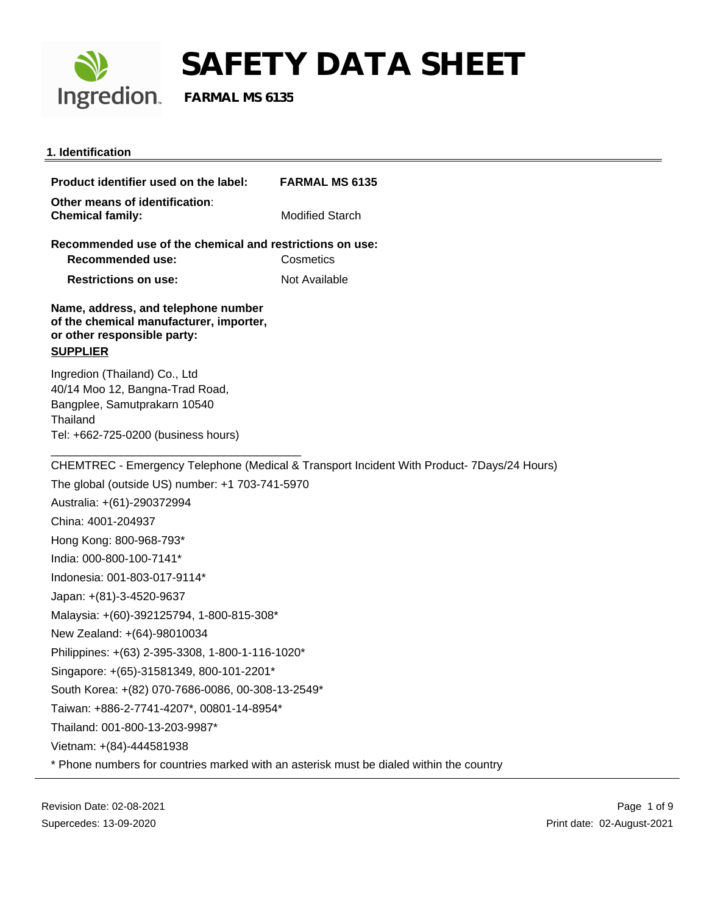

#### **1. Identification**

**Product identifier used on the label: FARMAL MS 6135 Other means of identification**: **Chemical family:** Modified Starch **Recommended use of the chemical and restrictions on use: Recommended use:** Cosmetics **Restrictions on use:** Not Available **Name, address, and telephone number of the chemical manufacturer, importer, or other responsible party: SUPPLIER** Ingredion (Thailand) Co., Ltd 40/14 Moo 12, Bangna-Trad Road, Bangplee, Samutprakarn 10540 **Thailand** Tel: +662-725-0200 (business hours) \_\_\_\_\_\_\_\_\_\_\_\_\_\_\_\_\_\_\_\_\_\_\_\_\_\_\_\_\_\_\_\_\_\_\_\_\_\_\_ CHEMTREC - Emergency Telephone (Medical & Transport Incident With Product- 7Days/24 Hours) The global (outside US) number: +1 703-741-5970 Australia: +(61)-290372994 China: 4001-204937 Hong Kong: 800-968-793\* India: 000-800-100-7141\* Indonesia: 001-803-017-9114\* Japan: +(81)-3-4520-9637 Malaysia: +(60)-392125794, 1-800-815-308\* New Zealand: +(64)-98010034 Philippines: +(63) 2-395-3308, 1-800-1-116-1020\* Singapore: +(65)-31581349, 800-101-2201\* South Korea: +(82) 070-7686-0086, 00-308-13-2549\* Taiwan: +886-2-7741-4207\*, 00801-14-8954\* Thailand: 001-800-13-203-9987\* Vietnam: +(84)-444581938 \* Phone numbers for countries marked with an asterisk must be dialed within the country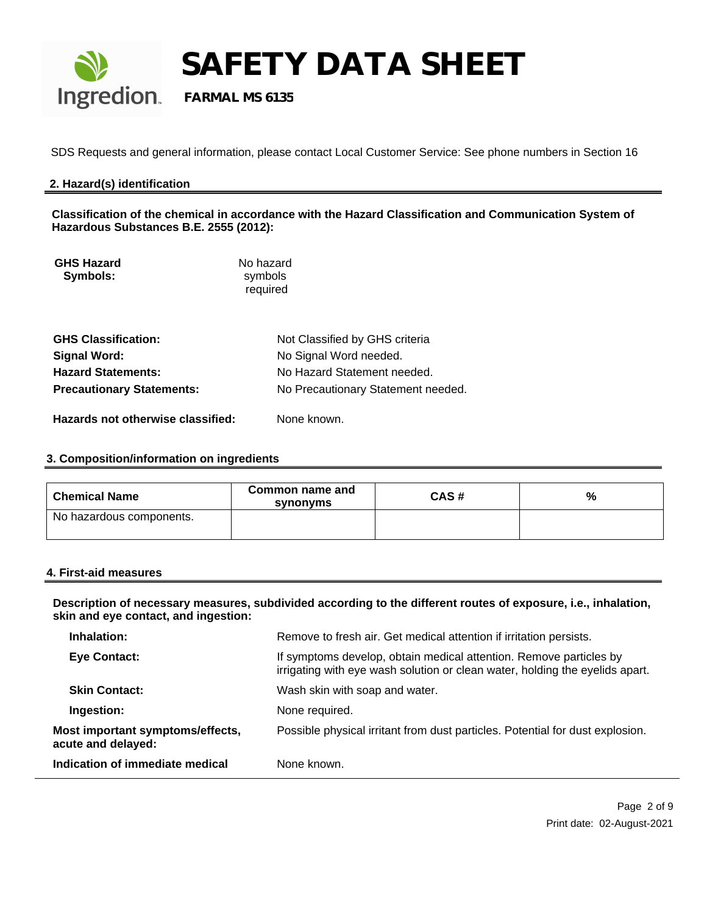

**SAFETY DATA SHEET**<br>Ingredion. FARMAL MS 6135

 **FARMAL MS 6135**

SDS Requests and general information, please contact Local Customer Service: See phone numbers in Section 16

#### **2. Hazard(s) identification**

**Classification of the chemical in accordance with the Hazard Classification and Communication System of Hazardous Substances B.E. 2555 (2012):**

| <b>GHS Hazard</b> | No hazard |
|-------------------|-----------|
| Symbols:          | symbols   |
|                   | required  |

| <b>GHS Classification:</b>        | Not Classified by GHS criteria     |
|-----------------------------------|------------------------------------|
| Signal Word:                      | No Signal Word needed.             |
| <b>Hazard Statements:</b>         | No Hazard Statement needed.        |
| <b>Precautionary Statements:</b>  | No Precautionary Statement needed. |
| Hazards not otherwise classified: | None known.                        |

#### **3. Composition/information on ingredients**

| <b>Chemical Name</b>     | Common name and<br>synonyms | CAS# | % |
|--------------------------|-----------------------------|------|---|
| No hazardous components. |                             |      |   |

#### **4. First-aid measures**

**Description of necessary measures, subdivided according to the different routes of exposure, i.e., inhalation, skin and eye contact, and ingestion:** 

| Indication of immediate medical                        | None known.                                                                                                                                        |
|--------------------------------------------------------|----------------------------------------------------------------------------------------------------------------------------------------------------|
| Most important symptoms/effects,<br>acute and delayed: | Possible physical irritant from dust particles. Potential for dust explosion.                                                                      |
| Ingestion:                                             | None required.                                                                                                                                     |
| <b>Skin Contact:</b>                                   | Wash skin with soap and water.                                                                                                                     |
| <b>Eye Contact:</b>                                    | If symptoms develop, obtain medical attention. Remove particles by<br>irrigating with eye wash solution or clean water, holding the eyelids apart. |
| Inhalation:                                            | Remove to fresh air. Get medical attention if irritation persists.                                                                                 |
|                                                        |                                                                                                                                                    |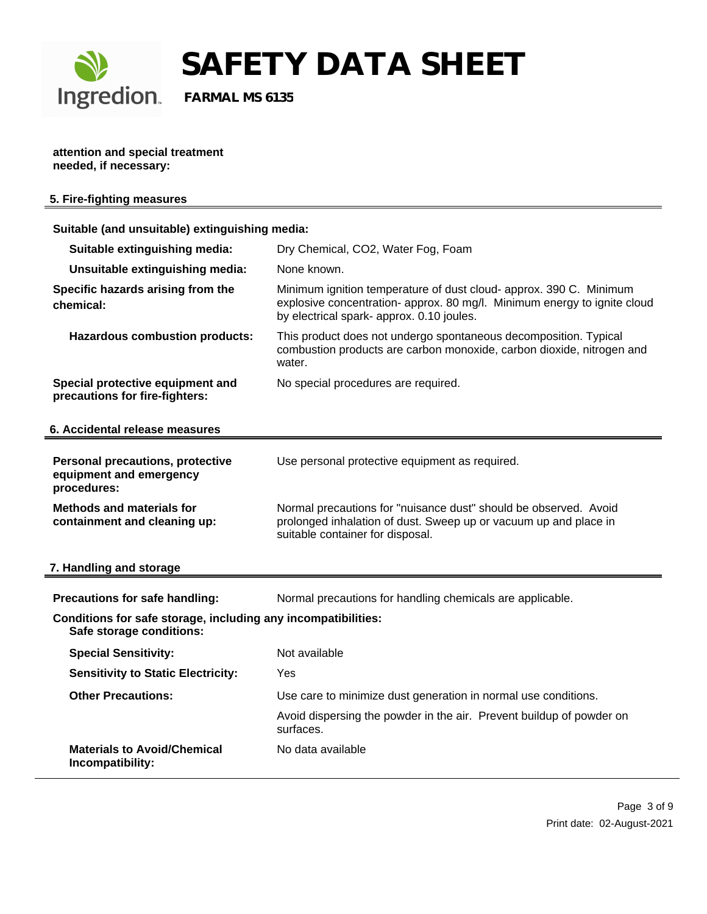

**SAFETY DATA SHEET**<br>Ingredion. FARMAL MS 6135

 **FARMAL MS 6135**

**attention and special treatment needed, if necessary:**

|  |  | 5. Fire-fighting measures |
|--|--|---------------------------|
|  |  |                           |

| Suitable (and unsuitable) extinguishing media:                                            |                                                                                                                                                                                             |
|-------------------------------------------------------------------------------------------|---------------------------------------------------------------------------------------------------------------------------------------------------------------------------------------------|
| Suitable extinguishing media:                                                             | Dry Chemical, CO2, Water Fog, Foam                                                                                                                                                          |
| Unsuitable extinguishing media:                                                           | None known.                                                                                                                                                                                 |
| Specific hazards arising from the<br>chemical:                                            | Minimum ignition temperature of dust cloud- approx. 390 C. Minimum<br>explosive concentration- approx. 80 mg/l. Minimum energy to ignite cloud<br>by electrical spark- approx. 0.10 joules. |
| <b>Hazardous combustion products:</b>                                                     | This product does not undergo spontaneous decomposition. Typical<br>combustion products are carbon monoxide, carbon dioxide, nitrogen and<br>water.                                         |
| Special protective equipment and<br>precautions for fire-fighters:                        | No special procedures are required.                                                                                                                                                         |
| 6. Accidental release measures                                                            |                                                                                                                                                                                             |
| <b>Personal precautions, protective</b><br>equipment and emergency<br>procedures:         | Use personal protective equipment as required.                                                                                                                                              |
| <b>Methods and materials for</b><br>containment and cleaning up:                          | Normal precautions for "nuisance dust" should be observed. Avoid<br>prolonged inhalation of dust. Sweep up or vacuum up and place in<br>suitable container for disposal.                    |
| 7. Handling and storage                                                                   |                                                                                                                                                                                             |
| Precautions for safe handling:                                                            | Normal precautions for handling chemicals are applicable.                                                                                                                                   |
| Conditions for safe storage, including any incompatibilities:<br>Safe storage conditions: |                                                                                                                                                                                             |
| <b>Special Sensitivity:</b>                                                               | Not available                                                                                                                                                                               |
| <b>Sensitivity to Static Electricity:</b>                                                 | Yes                                                                                                                                                                                         |
| <b>Other Precautions:</b>                                                                 | Use care to minimize dust generation in normal use conditions.                                                                                                                              |
|                                                                                           | Avoid dispersing the powder in the air. Prevent buildup of powder on<br>surfaces.                                                                                                           |
| <b>Materials to Avoid/Chemical</b><br>Incompatibility:                                    | No data available                                                                                                                                                                           |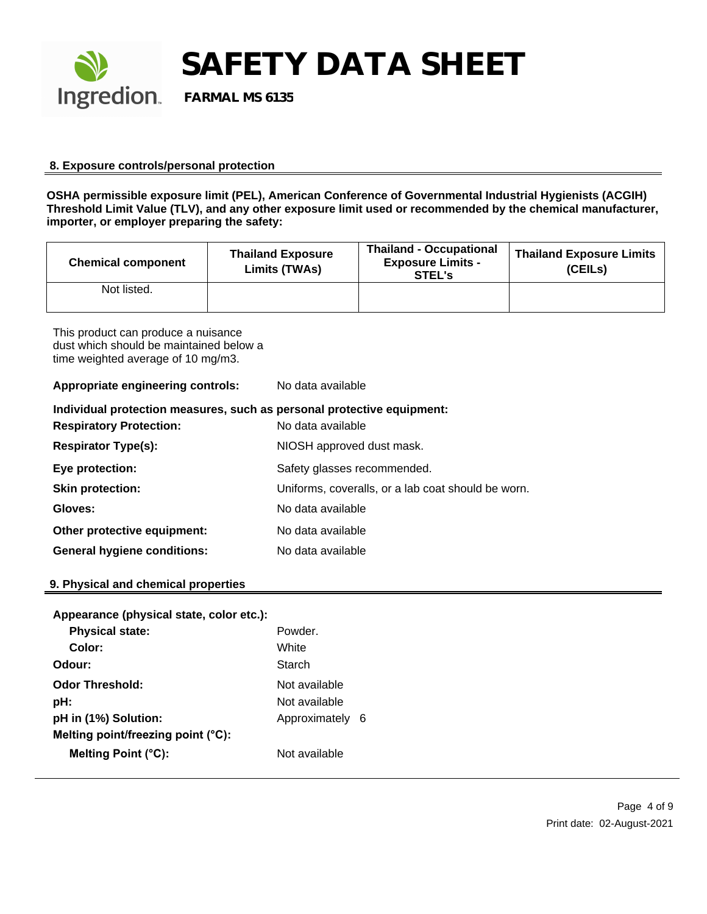

**SAFETY DATA SHEET**<br>Ingredion. FARMAL MS 6135

 **FARMAL MS 6135**

#### **8. Exposure controls/personal protection**

**OSHA permissible exposure limit (PEL), American Conference of Governmental Industrial Hygienists (ACGIH) Threshold Limit Value (TLV), and any other exposure limit used or recommended by the chemical manufacturer, importer, or employer preparing the safety:**

| <b>Chemical component</b> | <b>Thailand Exposure</b><br>Limits (TWAs) | <b>Thailand - Occupational</b><br><b>Exposure Limits -</b><br>STEL's | <b>Thailand Exposure Limits</b><br>(CEILs) |
|---------------------------|-------------------------------------------|----------------------------------------------------------------------|--------------------------------------------|
| Not listed.               |                                           |                                                                      |                                            |

This product can produce a nuisance dust which should be maintained below a time weighted average of 10 mg/m3.

**Appropriate engineering controls:** No data available

| Individual protection measures, such as personal protective equipment: |                                                    |  |
|------------------------------------------------------------------------|----------------------------------------------------|--|
| <b>Respiratory Protection:</b>                                         | No data available                                  |  |
| <b>Respirator Type(s):</b>                                             | NIOSH approved dust mask.                          |  |
| Eye protection:                                                        | Safety glasses recommended.                        |  |
| <b>Skin protection:</b>                                                | Uniforms, coveralls, or a lab coat should be worn. |  |
| Gloves:                                                                | No data available                                  |  |
| Other protective equipment:                                            | No data available                                  |  |
| <b>General hygiene conditions:</b>                                     | No data available                                  |  |

#### **9. Physical and chemical properties**

| Appearance (physical state, color etc.): |               |     |
|------------------------------------------|---------------|-----|
| <b>Physical state:</b>                   | Powder.       |     |
| Color:                                   | White         |     |
| Odour:                                   | Starch        |     |
| <b>Odor Threshold:</b>                   | Not available |     |
| pH:                                      | Not available |     |
| pH in (1%) Solution:                     | Approximately | - 6 |
| Melting point/freezing point (°C):       |               |     |
| Melting Point (°C):                      | Not available |     |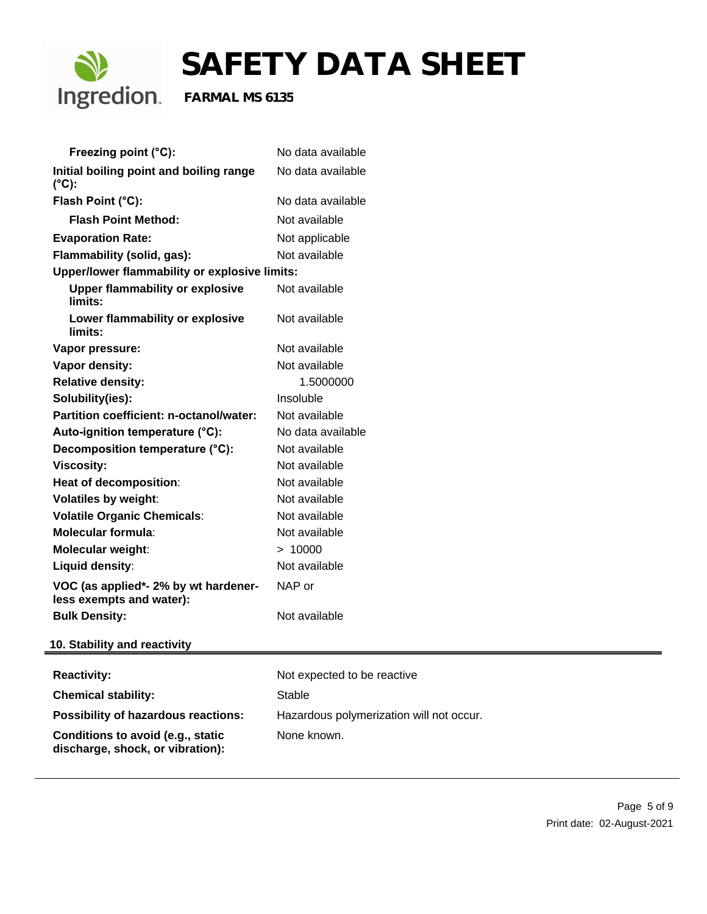

| Freezing point (°C):                                                  | No data available                        |
|-----------------------------------------------------------------------|------------------------------------------|
| Initial boiling point and boiling range<br>$(^{\circ}C)$ :            | No data available                        |
| Flash Point (°C):                                                     | No data available                        |
| <b>Flash Point Method:</b>                                            | Not available                            |
| <b>Evaporation Rate:</b>                                              | Not applicable                           |
| Flammability (solid, gas):                                            | Not available                            |
| Upper/lower flammability or explosive limits:                         |                                          |
| <b>Upper flammability or explosive</b><br>limits:                     | Not available                            |
| Lower flammability or explosive<br>limits:                            | Not available                            |
| Vapor pressure:                                                       | Not available                            |
| Vapor density:                                                        | Not available                            |
| <b>Relative density:</b>                                              | 1.5000000                                |
| Solubility(ies):                                                      | Insoluble                                |
| Partition coefficient: n-octanol/water:                               | Not available                            |
| Auto-ignition temperature (°C):                                       | No data available                        |
| Decomposition temperature (°C):                                       | Not available                            |
| <b>Viscosity:</b>                                                     | Not available                            |
| Heat of decomposition:                                                | Not available                            |
| <b>Volatiles by weight:</b>                                           | Not available                            |
| <b>Volatile Organic Chemicals:</b>                                    | Not available                            |
| <b>Molecular formula:</b>                                             | Not available                            |
| <b>Molecular weight:</b>                                              | > 10000                                  |
| <b>Liquid density:</b>                                                | Not available                            |
| VOC (as applied*- 2% by wt hardener-<br>less exempts and water):      | NAP or                                   |
| <b>Bulk Density:</b>                                                  | Not available                            |
| 10. Stability and reactivity                                          |                                          |
| <b>Reactivity:</b>                                                    | Not expected to be reactive              |
| <b>Chemical stability:</b>                                            | <b>Stable</b>                            |
| Possibility of hazardous reactions:                                   | Hazardous polymerization will not occur. |
| Conditions to avoid (e.g., static<br>discharge, shock, or vibration): | None known.                              |
|                                                                       |                                          |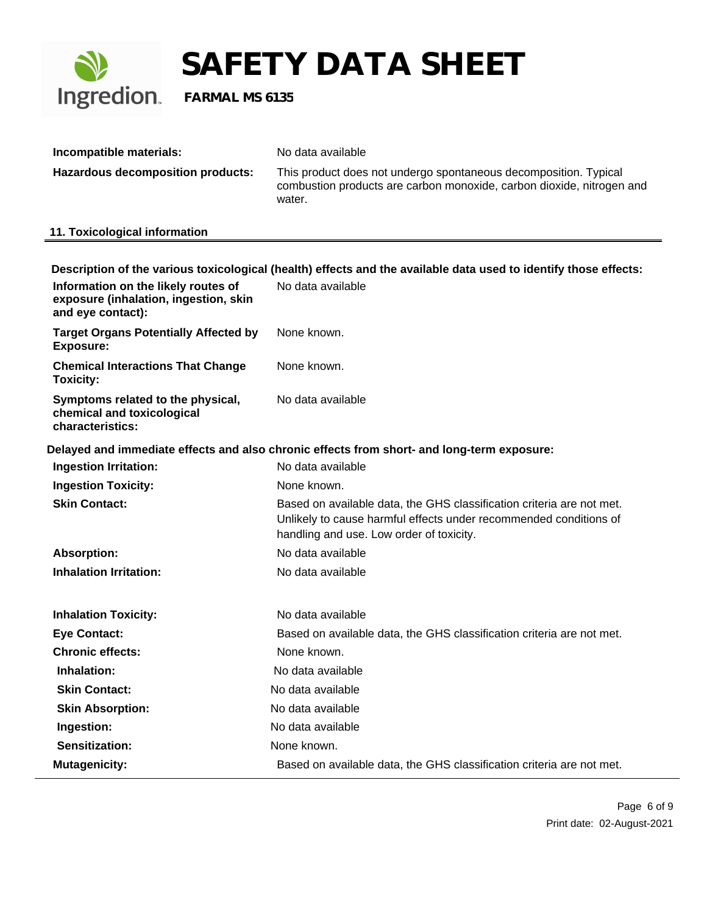

| Incompatible materials:           | No data available                                                                                                                                   |
|-----------------------------------|-----------------------------------------------------------------------------------------------------------------------------------------------------|
| Hazardous decomposition products: | This product does not undergo spontaneous decomposition. Typical<br>combustion products are carbon monoxide, carbon dioxide, nitrogen and<br>water. |

## **11. Toxicological information**

|                                                                                                   | Description of the various toxicological (health) effects and the available data used to identify those effects:                                                                       |
|---------------------------------------------------------------------------------------------------|----------------------------------------------------------------------------------------------------------------------------------------------------------------------------------------|
| Information on the likely routes of<br>exposure (inhalation, ingestion, skin<br>and eye contact): | No data available                                                                                                                                                                      |
| <b>Target Organs Potentially Affected by</b><br><b>Exposure:</b>                                  | None known.                                                                                                                                                                            |
| <b>Chemical Interactions That Change</b><br>Toxicity:                                             | None known.                                                                                                                                                                            |
| Symptoms related to the physical,<br>chemical and toxicological<br>characteristics:               | No data available                                                                                                                                                                      |
|                                                                                                   | Delayed and immediate effects and also chronic effects from short- and long-term exposure:                                                                                             |
| <b>Ingestion Irritation:</b>                                                                      | No data available                                                                                                                                                                      |
| <b>Ingestion Toxicity:</b>                                                                        | None known.                                                                                                                                                                            |
| <b>Skin Contact:</b>                                                                              | Based on available data, the GHS classification criteria are not met.<br>Unlikely to cause harmful effects under recommended conditions of<br>handling and use. Low order of toxicity. |
| <b>Absorption:</b>                                                                                | No data available                                                                                                                                                                      |
| <b>Inhalation Irritation:</b>                                                                     | No data available                                                                                                                                                                      |
| <b>Inhalation Toxicity:</b>                                                                       | No data available                                                                                                                                                                      |
| <b>Eye Contact:</b>                                                                               | Based on available data, the GHS classification criteria are not met.                                                                                                                  |
| <b>Chronic effects:</b>                                                                           | None known.                                                                                                                                                                            |
| Inhalation:                                                                                       | No data available                                                                                                                                                                      |
| <b>Skin Contact:</b>                                                                              | No data available                                                                                                                                                                      |
| <b>Skin Absorption:</b>                                                                           | No data available                                                                                                                                                                      |
| Ingestion:                                                                                        | No data available                                                                                                                                                                      |
| <b>Sensitization:</b>                                                                             | None known.                                                                                                                                                                            |
| <b>Mutagenicity:</b>                                                                              | Based on available data, the GHS classification criteria are not met.                                                                                                                  |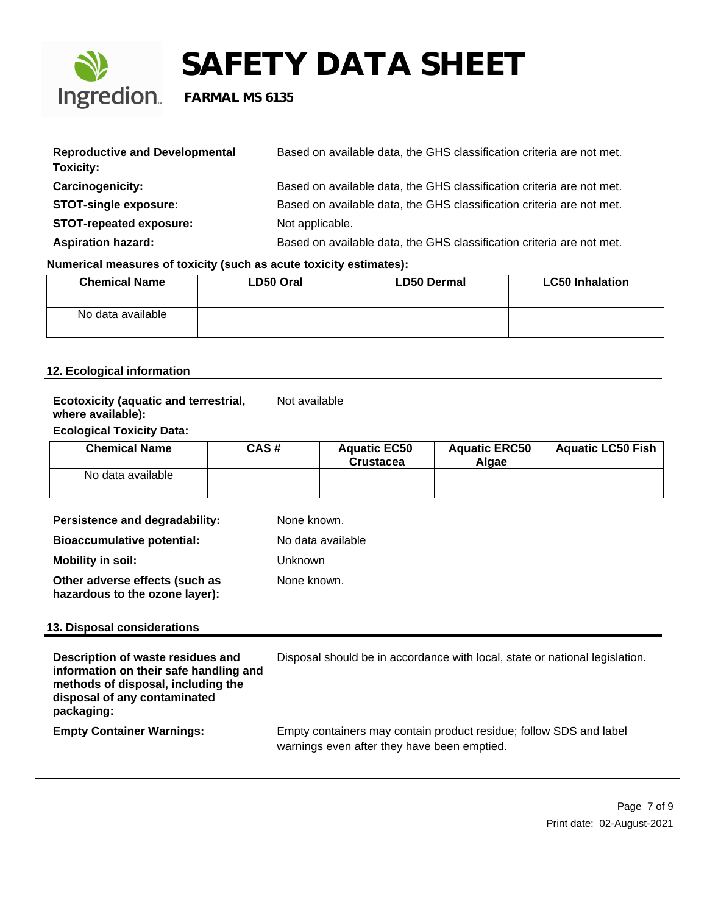

| <b>Reproductive and Developmental</b><br>Toxicity: | Based on available data, the GHS classification criteria are not met. |
|----------------------------------------------------|-----------------------------------------------------------------------|
| Carcinogenicity:                                   | Based on available data, the GHS classification criteria are not met. |
| <b>STOT-single exposure:</b>                       | Based on available data, the GHS classification criteria are not met. |
| <b>STOT-repeated exposure:</b>                     | Not applicable.                                                       |
| <b>Aspiration hazard:</b>                          | Based on available data, the GHS classification criteria are not met. |

### **Numerical measures of toxicity (such as acute toxicity estimates):**

| <b>Chemical Name</b> | LD50 Oral | <b>LD50 Dermal</b> | <b>LC50 Inhalation</b> |
|----------------------|-----------|--------------------|------------------------|
| No data available    |           |                    |                        |

#### **12. Ecological information**

#### **Ecotoxicity (aquatic and terrestrial, where available):** Not available

#### **Ecological Toxicity Data:**

| <b>Chemical Name</b> | CAS# | <b>Aquatic EC50</b><br><b>Crustacea</b> | <b>Aquatic ERC50</b><br>Alaae | <b>Aguatic LC50 Fish</b> |
|----------------------|------|-----------------------------------------|-------------------------------|--------------------------|
| No data available    |      |                                         |                               |                          |

| Persistence and degradability:                                   | None known.       |
|------------------------------------------------------------------|-------------------|
| <b>Bioaccumulative potential:</b>                                | No data available |
| <b>Mobility in soil:</b>                                         | Unknown           |
| Other adverse effects (such as<br>hazardous to the ozone layer): | None known.       |

#### **13. Disposal considerations**

| Description of waste residues and<br>information on their safe handling and<br>methods of disposal, including the<br>disposal of any contaminated<br>packaging: | Disposal should be in accordance with local, state or national legislation.                                       |
|-----------------------------------------------------------------------------------------------------------------------------------------------------------------|-------------------------------------------------------------------------------------------------------------------|
| <b>Empty Container Warnings:</b>                                                                                                                                | Empty containers may contain product residue; follow SDS and label<br>warnings even after they have been emptied. |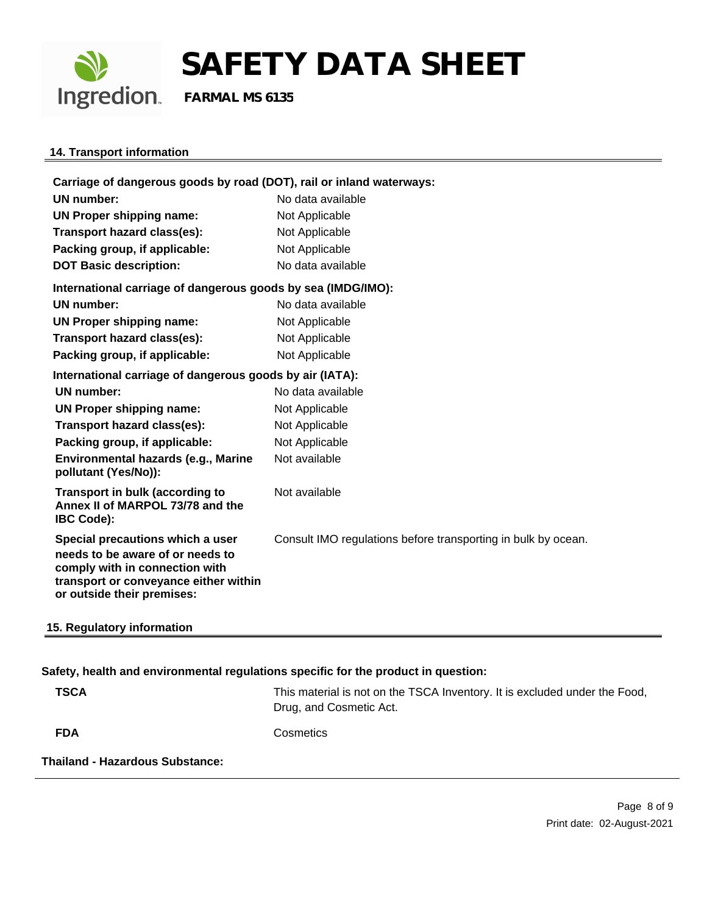

### **14. Transport information**

| Carriage of dangerous goods by road (DOT), rail or inland waterways:                                                                                                          |                                                               |  |
|-------------------------------------------------------------------------------------------------------------------------------------------------------------------------------|---------------------------------------------------------------|--|
| <b>UN number:</b>                                                                                                                                                             | No data available                                             |  |
| UN Proper shipping name:                                                                                                                                                      | Not Applicable                                                |  |
| Transport hazard class(es):                                                                                                                                                   | Not Applicable                                                |  |
| Packing group, if applicable:                                                                                                                                                 | Not Applicable                                                |  |
| <b>DOT Basic description:</b>                                                                                                                                                 | No data available                                             |  |
| International carriage of dangerous goods by sea (IMDG/IMO):                                                                                                                  |                                                               |  |
| <b>UN number:</b>                                                                                                                                                             | No data available                                             |  |
| <b>UN Proper shipping name:</b>                                                                                                                                               | Not Applicable                                                |  |
| Transport hazard class(es):                                                                                                                                                   | Not Applicable                                                |  |
| Packing group, if applicable:                                                                                                                                                 | Not Applicable                                                |  |
| International carriage of dangerous goods by air (IATA):                                                                                                                      |                                                               |  |
| <b>UN number:</b>                                                                                                                                                             | No data available                                             |  |
| UN Proper shipping name:                                                                                                                                                      | Not Applicable                                                |  |
| Transport hazard class(es):                                                                                                                                                   | Not Applicable                                                |  |
| Packing group, if applicable:                                                                                                                                                 | Not Applicable                                                |  |
| Environmental hazards (e.g., Marine<br>pollutant (Yes/No)):                                                                                                                   | Not available                                                 |  |
| Transport in bulk (according to<br>Annex II of MARPOL 73/78 and the<br><b>IBC Code):</b>                                                                                      | Not available                                                 |  |
| Special precautions which a user<br>needs to be aware of or needs to<br>comply with in connection with<br>transport or conveyance either within<br>or outside their premises: | Consult IMO regulations before transporting in bulk by ocean. |  |
| 15. Regulatory information                                                                                                                                                    |                                                               |  |

### **Safety, health and environmental regulations specific for the product in question:**

| <b>TSCA</b>                     | This material is not on the TSCA Inventory. It is excluded under the Food,<br>Drug, and Cosmetic Act. |
|---------------------------------|-------------------------------------------------------------------------------------------------------|
| <b>FDA</b>                      | Cosmetics                                                                                             |
| Thailand - Hazardous Substance: |                                                                                                       |